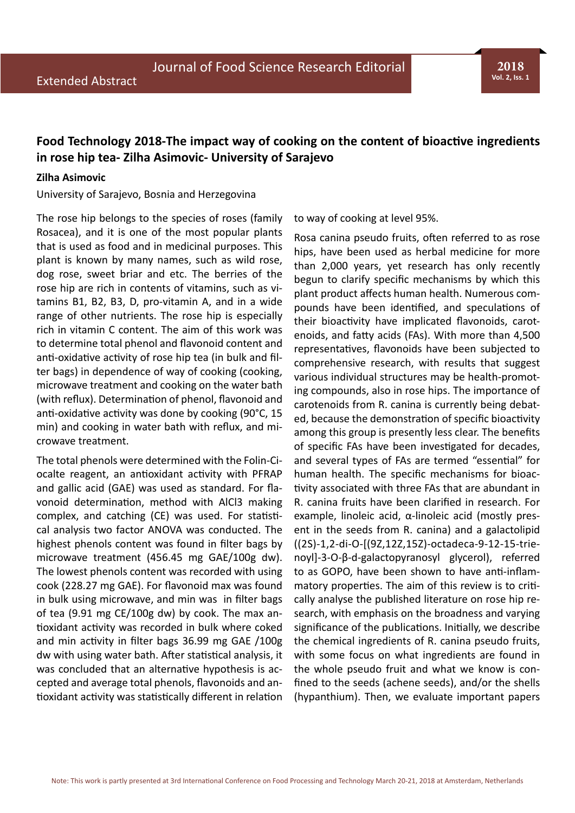**2018 Vol. 2, Iss. 1**

## **Food Technology 2018-The impact way of cooking on the content of bioactive ingredients in rose hip tea- Zilha Asimovic- University of Sarajevo**

## **Zilha Asimovic**

University of Sarajevo, Bosnia and Herzegovina

The rose hip belongs to the species of roses (family Rosacea), and it is one of the most popular plants that is used as food and in medicinal purposes. This plant is known by many names, such as wild rose, dog rose, sweet briar and etc. The berries of the rose hip are rich in contents of vitamins, such as vitamins B1, B2, B3, D, pro-vitamin A, and in a wide range of other nutrients. The rose hip is especially rich in vitamin C content. The aim of this work was to determine total phenol and flavonoid content and anti-oxidative activity of rose hip tea (in bulk and filter bags) in dependence of way of cooking (cooking, microwave treatment and cooking on the water bath (with reflux). Determination of phenol, flavonoid and anti-oxidative activity was done by cooking (90°C, 15 min) and cooking in water bath with reflux, and microwave treatment.

The total phenols were determined with the Folin-Ciocalte reagent, an antioxidant activity with PFRAP and gallic acid (GAE) was used as standard. For flavonoid determination, method with AlCl3 making complex, and catching (CE) was used. For statistical analysis two factor ANOVA was conducted. The highest phenols content was found in filter bags by microwave treatment (456.45 mg GAE/100g dw). The lowest phenols content was recorded with using cook (228.27 mg GAE). For flavonoid max was found in bulk using microwave, and min was in filter bags of tea (9.91 mg CE/100g dw) by cook. The max antioxidant activity was recorded in bulk where coked and min activity in filter bags 36.99 mg GAE /100g dw with using water bath. After statistical analysis, it was concluded that an alternative hypothesis is accepted and average total phenols, flavonoids and antioxidant activity was statistically different in relation to way of cooking at level 95%.

Rosa canina pseudo fruits, often referred to as rose hips, have been used as herbal medicine for more than 2,000 years, yet research has only recently begun to clarify specific mechanisms by which this plant product affects human health. Numerous compounds have been identified, and speculations of their bioactivity have implicated flavonoids, carotenoids, and fatty acids (FAs). With more than 4,500 representatives, flavonoids have been subjected to comprehensive research, with results that suggest various individual structures may be health-promoting compounds, also in rose hips. The importance of carotenoids from R. canina is currently being debated, because the demonstration of specific bioactivity among this group is presently less clear. The benefits of specific FAs have been investigated for decades, and several types of FAs are termed "essential" for human health. The specific mechanisms for bioactivity associated with three FAs that are abundant in R. canina fruits have been clarified in research. For example, linoleic acid, α-linoleic acid (mostly present in the seeds from R. canina) and a galactolipid ((2S)-1,2-di-O-[(9Z,12Z,15Z)-octadeca-9-12-15-trienoyl]-3-O-β-d-galactopyranosyl glycerol), referred to as GOPO, have been shown to have anti-inflammatory properties. The aim of this review is to critically analyse the published literature on rose hip research, with emphasis on the broadness and varying significance of the publications. Initially, we describe the chemical ingredients of R. canina pseudo fruits, with some focus on what ingredients are found in the whole pseudo fruit and what we know is confined to the seeds (achene seeds), and/or the shells (hypanthium). Then, we evaluate important papers